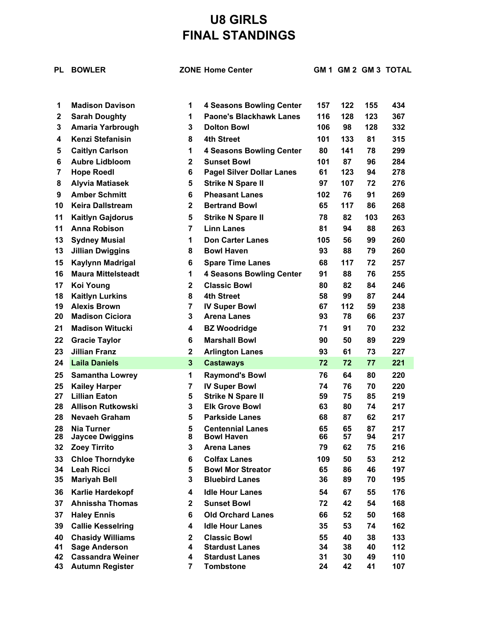## **U8 GIRLS FINAL STANDINGS**

| PL              | <b>BOWLER</b>                               |                         | <b>ZONE Home Center</b>                      |          |          |          | GM 1 GM 2 GM 3 TOTAL |
|-----------------|---------------------------------------------|-------------------------|----------------------------------------------|----------|----------|----------|----------------------|
|                 |                                             |                         |                                              |          |          |          |                      |
| 1               | <b>Madison Davison</b>                      | 1                       | <b>4 Seasons Bowling Center</b>              | 157      | 122      | 155      | 434                  |
| $\mathbf{2}$    | <b>Sarah Doughty</b>                        | 1                       | <b>Paone's Blackhawk Lanes</b>               | 116      | 128      | 123      | 367                  |
| 3               | Amaria Yarbrough                            | 3                       | <b>Dolton Bowl</b>                           | 106      | 98       | 128      | 332                  |
| 4               | <b>Kenzi Stefanisin</b>                     | 8                       | <b>4th Street</b>                            | 101      | 133      | 81       | 315                  |
| 5               | <b>Caitlyn Carlson</b>                      | 1                       | <b>4 Seasons Bowling Center</b>              | 80       | 141      | 78       | 299                  |
| 6               | <b>Aubre Lidbloom</b>                       | $\mathbf{2}$            | <b>Sunset Bowl</b>                           | 101      | 87       | 96       | 284                  |
| $\overline{7}$  | <b>Hope Roedl</b>                           | 6                       | <b>Pagel Silver Dollar Lanes</b>             | 61       | 123      | 94       | 278                  |
| 8               | <b>Alyvia Matiasek</b>                      | 5                       | <b>Strike N Spare II</b>                     | 97       | 107      | 72       | 276                  |
| 9               | <b>Amber Schmitt</b>                        | 6                       | <b>Pheasant Lanes</b>                        | 102      | 76       | 91       | 269                  |
| 10              | <b>Keira Dallstream</b>                     | 2                       | <b>Bertrand Bowl</b>                         | 65       | 117      | 86       | 268                  |
| 11              | <b>Kaitlyn Gajdorus</b>                     | 5                       | <b>Strike N Spare II</b>                     | 78       | 82       | 103      | 263                  |
| 11              | <b>Anna Robison</b>                         | $\overline{7}$          | <b>Linn Lanes</b>                            | 81       | 94       | 88       | 263                  |
| 13              | <b>Sydney Musial</b>                        | 1                       | <b>Don Carter Lanes</b>                      | 105      | 56       | 99       | 260                  |
| 13              | <b>Jillian Dwiggins</b>                     | 8                       | <b>Bowl Haven</b>                            | 93       | 88       | 79       | 260                  |
| 15              | Kaylynn Madrigal                            | 6                       | <b>Spare Time Lanes</b>                      | 68       | 117      | 72       | 257                  |
| 16              | <b>Maura Mittelsteadt</b>                   | 1                       | <b>4 Seasons Bowling Center</b>              | 91       | 88       | 76       | 255                  |
| 17              | <b>Koi Young</b>                            | 2                       | <b>Classic Bowl</b>                          | 80       | 82       | 84       | 246                  |
| 18              | <b>Kaitlyn Lurkins</b>                      | 8                       | <b>4th Street</b>                            | 58       | 99       | 87       | 244                  |
| 19              | <b>Alexis Brown</b>                         | 7                       | <b>IV Super Bowl</b>                         | 67       | 112      | 59       | 238                  |
| 20              | <b>Madison Ciciora</b>                      | 3                       | <b>Arena Lanes</b>                           | 93       | 78       | 66       | 237                  |
| 21              | <b>Madison Witucki</b>                      | 4                       | <b>BZ Woodridge</b>                          | 71       | 91       | 70       | 232                  |
| 22              | <b>Gracie Taylor</b>                        | 6                       | <b>Marshall Bowl</b>                         | 90       | 50       | 89       | 229                  |
| 23              | <b>Jillian Franz</b>                        | $\mathbf{2}$            | <b>Arlington Lanes</b>                       | 93       | 61       | 73       | 227                  |
| 24              | <b>Laila Daniels</b>                        | $\mathbf{3}$            | <b>Castaways</b>                             | 72       | 72       | 77       | 221                  |
| 25              | <b>Samantha Lowrey</b>                      | 1                       | <b>Raymond's Bowl</b>                        | 76       | 64       | 80       | 220                  |
| 25              | <b>Kailey Harper</b>                        | 7                       | <b>IV Super Bowl</b>                         | 74       | 76       | 70       | 220                  |
| 27              | <b>Lillian Eaton</b>                        | 5                       | <b>Strike N Spare II</b>                     | 59       | 75       | 85       | 219                  |
| 28              | <b>Allison Rutkowski</b>                    | 3                       | <b>Elk Grove Bowl</b>                        | 63       | 80       | 74       | 217                  |
| 28              | Nevaeh Graham                               | 5                       | <b>Parkside Lanes</b>                        | 68       | 87       | 62       | 217                  |
| 28<br>28        | <b>Nia Turner</b><br><b>Jaycee Dwiggins</b> | 5<br>8                  | <b>Centennial Lanes</b><br><b>Bowl Haven</b> | 65<br>66 | 65<br>57 | 87<br>94 | 217<br>217           |
| 32 <sub>2</sub> | <b>Zoey Tirrito</b>                         | 3                       | <b>Arena Lanes</b>                           | 79       | 62       | 75       | 216                  |
| 33              | <b>Chloe Thorndyke</b>                      | 6                       | <b>Colfax Lanes</b>                          | 109      | 50       | 53       | 212                  |
| 34              | <b>Leah Ricci</b>                           | 5                       | <b>Bowl Mor Streator</b>                     | 65       | 86       | 46       | 197                  |
| 35              | <b>Mariyah Bell</b>                         | 3                       | <b>Bluebird Lanes</b>                        | 36       | 89       | 70       | 195                  |
| 36              | Karlie Hardekopf                            | 4                       | <b>Idle Hour Lanes</b>                       | 54       | 67       | 55       | 176                  |
| 37              | <b>Ahnissha Thomas</b>                      | $\mathbf{2}$            | <b>Sunset Bowl</b>                           | 72       | 42       | 54       | 168                  |
| 37              | <b>Haley Ennis</b>                          | 6                       | <b>Old Orchard Lanes</b>                     | 66       | 52       | 50       | 168                  |
| 39              | <b>Callie Kesselring</b>                    | 4                       | <b>Idle Hour Lanes</b>                       | 35       | 53       | 74       | 162                  |
| 40              | <b>Chasidy Williams</b>                     | $\overline{\mathbf{2}}$ | <b>Classic Bowl</b>                          | 55       | 40       | 38       | 133                  |
| 41              | <b>Sage Anderson</b>                        | 4                       | <b>Stardust Lanes</b>                        | 34       | 38       | 40       | 112                  |
| 42              | <b>Cassandra Weiner</b>                     | 4                       | <b>Stardust Lanes</b>                        | 31       | 30       | 49       | 110                  |
| 43              | <b>Autumn Register</b>                      | 7                       | <b>Tombstone</b>                             | 24       | 42       | 41       | 107                  |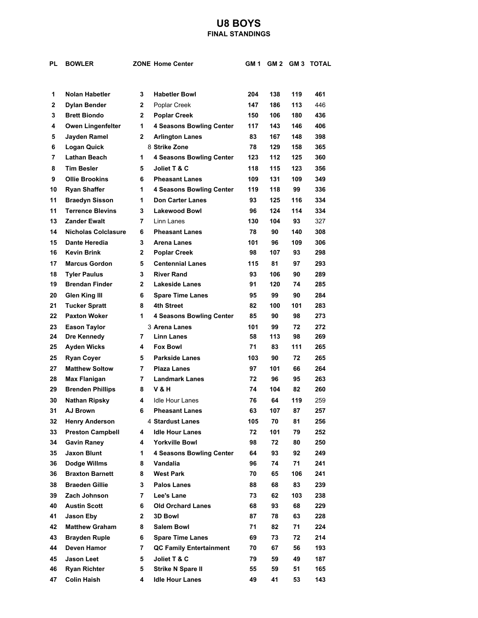## **U8 BOYS FINAL STANDINGS**

| PL           | <b>BOWLER</b>                            |              | <b>ZONE Home Center</b>                                   | GM 1 |     |     | GM 2 GM 3 TOTAL |
|--------------|------------------------------------------|--------------|-----------------------------------------------------------|------|-----|-----|-----------------|
|              |                                          |              |                                                           |      |     |     |                 |
| 1            | <b>Nolan Habetler</b>                    | 3            | <b>Habetler Bowl</b>                                      | 204  | 138 | 119 | 461             |
| $\mathbf{2}$ | <b>Dylan Bender</b>                      | $\mathbf{2}$ | Poplar Creek                                              | 147  | 186 | 113 | 446             |
| 3            | <b>Brett Biondo</b>                      | $\mathbf{2}$ | <b>Poplar Creek</b>                                       | 150  | 106 | 180 | 436             |
| 4            |                                          | 1            |                                                           | 117  | 143 | 146 | 406             |
| 5            | <b>Owen Lingenfelter</b><br>Jayden Ramel | $\mathbf{2}$ | <b>4 Seasons Bowling Center</b><br><b>Arlington Lanes</b> | 83   | 167 | 148 | 398             |
| 6            | <b>Logan Quick</b>                       |              | 8 Strike Zone                                             | 78   | 129 | 158 | 365             |
| 7            | Lathan Beach                             | 1            | <b>4 Seasons Bowling Center</b>                           | 123  | 112 | 125 | 360             |
| 8            | <b>Tim Besler</b>                        | 5            | Joliet T & C                                              | 118  | 115 | 123 | 356             |
| 9            | <b>Ollie Brookins</b>                    | 6            | <b>Pheasant Lanes</b>                                     | 109  | 131 | 109 | 349             |
| 10           | <b>Ryan Shaffer</b>                      | 1            | <b>4 Seasons Bowling Center</b>                           | 119  | 118 | 99  | 336             |
| 11           | <b>Braedyn Sisson</b>                    | 1            | <b>Don Carter Lanes</b>                                   | 93   | 125 | 116 | 334             |
| 11           | <b>Terrence Blevins</b>                  | 3            | <b>Lakewood Bowl</b>                                      | 96   | 124 | 114 | 334             |
| 13           | Zander Ewalt                             | 7            | Linn Lanes                                                | 130  | 104 | 93  | 327             |
| 14           | <b>Nicholas Colclasure</b>               | 6            | <b>Pheasant Lanes</b>                                     | 78   | 90  | 140 | 308             |
| 15           | Dante Heredia                            | 3            | Arena Lanes                                               | 101  | 96  | 109 | 306             |
| 16           | <b>Kevin Brink</b>                       | $\mathbf{2}$ | <b>Poplar Creek</b>                                       | 98   | 107 | 93  | 298             |
| 17           | <b>Marcus Gordon</b>                     | 5            | <b>Centennial Lanes</b>                                   | 115  | 81  | 97  | 293             |
| 18           | <b>Tyler Paulus</b>                      | 3            | <b>River Rand</b>                                         | 93   | 106 | 90  | 289             |
| 19           | <b>Brendan Finder</b>                    | 2            | <b>Lakeside Lanes</b>                                     | 91   | 120 | 74  | 285             |
| 20           | <b>Glen King III</b>                     | 6            | <b>Spare Time Lanes</b>                                   | 95   | 99  | 90  | 284             |
| 21           | <b>Tucker Spratt</b>                     | 8            | 4th Street                                                | 82   | 100 | 101 | 283             |
| 22           | <b>Paxton Woker</b>                      | 1            | <b>4 Seasons Bowling Center</b>                           | 85   | 90  | 98  | 273             |
| 23           | <b>Eason Taylor</b>                      |              | 3 Arena Lanes                                             | 101  | 99  | 72  | 272             |
| 24           | Dre Kennedy                              | 7            | <b>Linn Lanes</b>                                         | 58   | 113 | 98  | 269             |
| 25           | <b>Ayden Wicks</b>                       | 4            | <b>Fox Bowl</b>                                           | 71   | 83  | 111 | 265             |
| 25           | <b>Ryan Coyer</b>                        | 5            | <b>Parkside Lanes</b>                                     | 103  | 90  | 72  | 265             |
| 27           | <b>Matthew Soltow</b>                    | 7            | <b>Plaza Lanes</b>                                        | 97   | 101 | 66  | 264             |
| 28           | <b>Max Flanigan</b>                      | 7            | <b>Landmark Lanes</b>                                     | 72   | 96  | 95  | 263             |
| 29           | <b>Brenden Phillips</b>                  | 8            | V & H                                                     | 74   | 104 | 82  | 260             |
| 30           | Nathan Ripsky                            | 4            | <b>Idle Hour Lanes</b>                                    | 76   | 64  | 119 | 259             |
| 31           | <b>AJ Brown</b>                          | 6            | <b>Pheasant Lanes</b>                                     | 63   | 107 | 87  | 257             |
| 32           | <b>Henry Anderson</b>                    |              | 4 Stardust Lanes                                          | 105  | 70  | 81  | 256             |
| 33           | <b>Preston Campbell</b>                  | 4            | <b>Idle Hour Lanes</b>                                    | 72   | 101 | 79  | 252             |
| 34           | <b>Gavin Raney</b>                       | 4            | <b>Yorkville Bowl</b>                                     | 98   | 72  | 80  | 250             |
| 35           | <b>Jaxon Blunt</b>                       | 1            | <b>4 Seasons Bowling Center</b>                           | 64   | 93  | 92  | 249             |
| 36           | Dodge Willms                             | 8            | Vandalia                                                  | 96   | 74  | 71  | 241             |
| 36           | <b>Braxton Barnett</b>                   | 8            | <b>West Park</b>                                          | 70   | 65  | 106 | 241             |
| 38           | <b>Braeden Gillie</b>                    | 3            | <b>Palos Lanes</b>                                        | 88   | 68  | 83  | 239             |
| 39           | Zach Johnson                             | 7            | Lee's Lane                                                | 73   | 62  | 103 | 238             |
| 40           | <b>Austin Scott</b>                      | 6            | <b>Old Orchard Lanes</b>                                  | 68   | 93  | 68  | 229             |
| 41           | Jason Eby                                | $\mathbf{2}$ | 3D Bowl                                                   | 87   | 78  | 63  | 228             |
| 42           | <b>Matthew Graham</b>                    | 8            | <b>Salem Bowl</b>                                         | 71   | 82  | 71  | 224             |
| 43           | <b>Brayden Ruple</b>                     | 6            | <b>Spare Time Lanes</b>                                   | 69   | 73  | 72  | 214             |
| 44           | Deven Hamor                              | 7            | <b>QC Family Entertainment</b>                            | 70   | 67  | 56  | 193             |
| 45           | <b>Jason Leet</b>                        | 5            | Joliet T & C                                              | 79   | 59  | 49  | 187             |
| 46           | <b>Ryan Richter</b>                      | 5            | <b>Strike N Spare II</b>                                  | 55   | 59  | 51  | 165             |
| 47           | <b>Colin Haish</b>                       | 4            | <b>Idle Hour Lanes</b>                                    | 49   | 41  | 53  | 143             |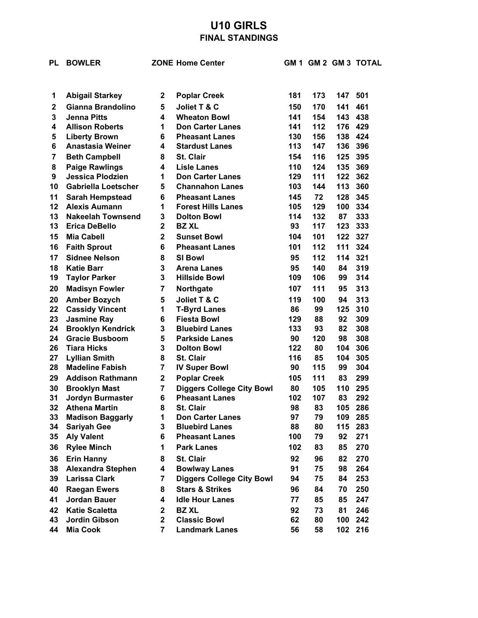## **U10 GIRLS FINAL STANDINGS**

| PL           | <b>BOWLER</b>                                    |                  | <b>ZONE Home Center</b>                              | GM 1      |            |           | <b>GM 2 GM 3 TOTAL</b> |
|--------------|--------------------------------------------------|------------------|------------------------------------------------------|-----------|------------|-----------|------------------------|
| 1            | <b>Abigail Starkey</b>                           | $\mathbf{2}$     | <b>Poplar Creek</b>                                  | 181       | 173        | 147       | 501                    |
| $\mathbf{2}$ | Gianna Brandolino                                | 5                | Joliet T & C                                         | 150       | 170        | 141       | 461                    |
| 3            | <b>Jenna Pitts</b>                               | 4                | <b>Wheaton Bowl</b>                                  | 141       | 154        | 143       | 438                    |
| 4            | <b>Allison Roberts</b>                           | 1                | <b>Don Carter Lanes</b>                              | 141       | 112        | 176       | 429                    |
| 5            | <b>Liberty Brown</b>                             | 6                | <b>Pheasant Lanes</b>                                | 130       | 156        | 138       | 424                    |
| 6            | <b>Anastasia Weiner</b>                          | 4                | <b>Stardust Lanes</b>                                | 113       | 147        | 136       | 396                    |
| 7            | <b>Beth Campbell</b>                             | 8                | <b>St. Clair</b>                                     | 154       | 116        | 125       | 395                    |
| 8            | <b>Paige Rawlings</b>                            | 4                | <b>Lisle Lanes</b>                                   | 110       | 124        | 135       | 369                    |
| 9            | <b>Jessica Plodzien</b>                          | 1                | <b>Don Carter Lanes</b>                              | 129       | 111        | 122       | 362                    |
| 10           | <b>Gabriella Loetscher</b>                       | 5                | <b>Channahon Lanes</b>                               | 103       | 144        | 113       | 360                    |
| 11           | <b>Sarah Hempstead</b>                           | 6                | <b>Pheasant Lanes</b>                                | 145       | 72         | 128       | 345                    |
| 12           | <b>Alexis Aumann</b>                             | 1                | <b>Forest Hills Lanes</b>                            | 105       | 129        | 100       | 334                    |
| 13           | <b>Nakeelah Townsend</b>                         | 3                | <b>Dolton Bowl</b>                                   | 114       | 132        | 87        | 333                    |
| 13           | <b>Erica DeBello</b>                             | $\mathbf{2}$     | <b>BZ XL</b>                                         | 93        | 117        | 123       | 333                    |
| 15           | <b>Mia Cabell</b>                                | $\mathbf{2}$     | <b>Sunset Bowl</b>                                   | 104       | 101        | 122       | 327                    |
| 16           | <b>Faith Sprout</b>                              | 6                | <b>Pheasant Lanes</b>                                | 101       | 112        | 111       | 324                    |
| 17           | <b>Sidnee Nelson</b>                             | 8                | <b>SI Bowl</b>                                       | 95        | 112        | 114       | 321                    |
| 18<br>19     | <b>Katie Barr</b><br><b>Taylor Parker</b>        | 3<br>3           | <b>Arena Lanes</b><br><b>Hillside Bowl</b>           | 95<br>109 | 140<br>106 | 84<br>99  | 319<br>314             |
|              |                                                  | $\overline{7}$   |                                                      | 107       |            |           |                        |
| 20           | <b>Madisyn Fowler</b>                            |                  | Northgate                                            |           | 111        | 95        | 313                    |
| 20<br>22     | <b>Amber Bozych</b>                              | 5<br>1           | Joliet T & C                                         | 119<br>86 | 100<br>99  | 94<br>125 | 313<br>310             |
| 23           | <b>Cassidy Vincent</b><br><b>Jasmine Ray</b>     | 6                | <b>T-Byrd Lanes</b><br><b>Fiesta Bowl</b>            | 129       | 88         | 92        | 309                    |
| 24           | <b>Brooklyn Kendrick</b>                         | 3                | <b>Bluebird Lanes</b>                                | 133       | 93         | 82        | 308                    |
| 24           | <b>Gracie Busboom</b>                            | 5                | <b>Parkside Lanes</b>                                | 90        | 120        | 98        | 308                    |
| 26           | <b>Tiara Hicks</b>                               | 3                | <b>Dolton Bowl</b>                                   | 122       | 80         | 104       | 306                    |
| 27           | <b>Lyllian Smith</b>                             | 8                | St. Clair                                            | 116       | 85         | 104       | 305                    |
| 28           | <b>Madeline Fabish</b>                           | $\overline{7}$   | <b>IV Super Bowl</b>                                 | 90        | 115        | 99        | 304                    |
| 29           | <b>Addison Rathmann</b>                          | $\mathbf 2$      | <b>Poplar Creek</b>                                  | 105       | 111        | 83        | 299                    |
| 30           | <b>Brooklyn Mast</b>                             | 7                | <b>Diggers College City Bowl</b>                     | 80        | 105        | 110       | 295                    |
| 31           | <b>Jordyn Burmaster</b>                          | 6                | <b>Pheasant Lanes</b>                                | 102       | 107        | 83        | 292                    |
| 32           | <b>Athena Martin</b>                             | 8                | St. Clair                                            | 98        | 83         | 105       | 286                    |
| 33           | <b>Madison Baggarly</b>                          | 1                | <b>Don Carter Lanes</b>                              | 97        | 79         | 109       | 285                    |
| 34           | <b>Sariyah Gee</b>                               | 3<br>6           | <b>Bluebird Lanes</b>                                | 88<br>100 | 80<br>79   | 115       | 283                    |
| 35           | <b>Aly Valent</b>                                | 1                | <b>Pheasant Lanes</b>                                |           |            | 92        | 271                    |
| 36           | <b>Rylee Minch</b>                               |                  | <b>Park Lanes</b>                                    | 102       | 83         | 85        | 270                    |
| 36           | <b>Erin Hanny</b>                                | 8                | St. Clair                                            | 92        | 96         | 82        | 270                    |
| 38           | <b>Alexandra Stephen</b><br><b>Larissa Clark</b> | 4                | <b>Bowlway Lanes</b>                                 | 91        | 75         | 98        | 264                    |
| 39           |                                                  | 7                | <b>Diggers College City Bowl</b>                     | 94        | 75         | 84        | 253                    |
| 40           | <b>Raegan Ewers</b><br><b>Jordan Bauer</b>       | 8                | <b>Stars &amp; Strikes</b><br><b>Idle Hour Lanes</b> | 96        | 84         | 70        | 250                    |
| 41           |                                                  | 4                |                                                      | 77        | 85         | 85        | 247                    |
| 42<br>43     | <b>Katie Scaletta</b><br>Jordin Gibson           | 2<br>$\mathbf 2$ | <b>BZ XL</b><br><b>Classic Bowl</b>                  | 92<br>62  | 73<br>80   | 81<br>100 | 246<br>242             |
| 44           | <b>Mia Cook</b>                                  | 7                | <b>Landmark Lanes</b>                                | 56        | 58         |           | 102 216                |
|              |                                                  |                  |                                                      |           |            |           |                        |